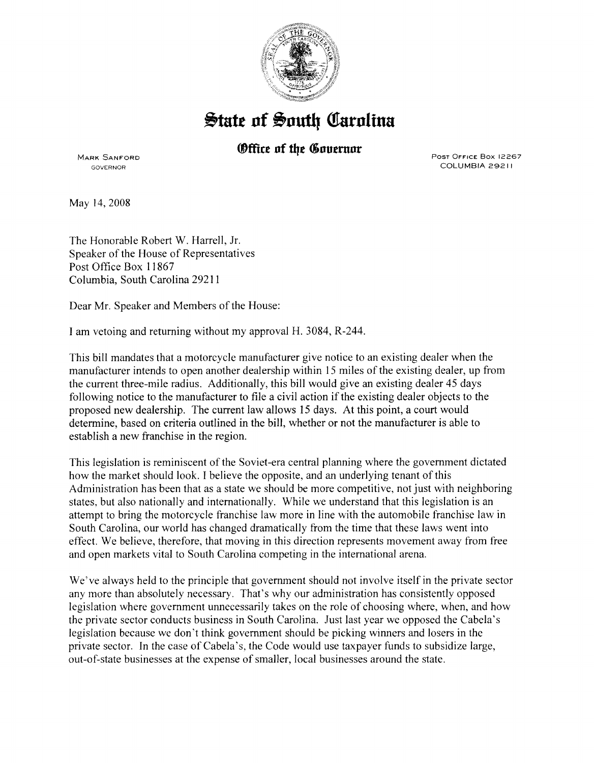

## **State of South Carolina**

## **Office of the Governor**

MARK SANFORD GOVERNOR

POST OFFICE Box 12267 COLUMBIA 29211

May 14,2008

The Honorable Robert W. Harrell, Jr. Speaker of the House of Representatives Post Office Box 11867 Columbia, South Carolina 29211

Dear Mr. Speaker and Members of the House:

I am vetoing and returning without my approval H. 3084, R-244.

This bill mandates that a motorcycle manufacturer give notice to an existing dealer when the manufacturer intends to open another dealership within 15 miles of the existing dealer, up from the current three-mile radius. Additionally, this bill would give an existing dealer 45 days following notice to the manufacturer to file a civil action if the existing dealer objects to the proposed new dealership. The current law allows 15 days. At this point, a court would determine, based on criteria outlined in the bill, whether or not the manufacturer is able to establish a new franchise in the region.

This legislation is reminiscent of the Soviet-era central planning where the government dictated how the market should look. I believe the opposite, and an underlying tenant of this Administration has been that as a state we should be more competitive, not just with neighboring states, but also nationally and internationally. While we understand that this legislation is an attempt to bring the motorcycle franchise law more in line with the automobile franchise law in South Carolina, our world has changed dramatically from the time that these laws went into effect. We believe, therefore, that moving in this direction represents movement away from free and open markets vital to South Carolina competing in the international arena.

We've always held to the principle that government should not involve itself in the private sector any more than absolutely necessary. That's why our administration has consistently opposed legislation where government unnecessarily takes on the role of choosing where, when, and how the private sector conducts business in South Carolina. Just last year we opposed the Cabela's legislation because we don't think government should be picking winners and losers in the private sector. In the case of Cabela' s, the Code would use taxpayer funds to subsidize large, out-of-state businesses at the expense of smaller, local businesses around the state.